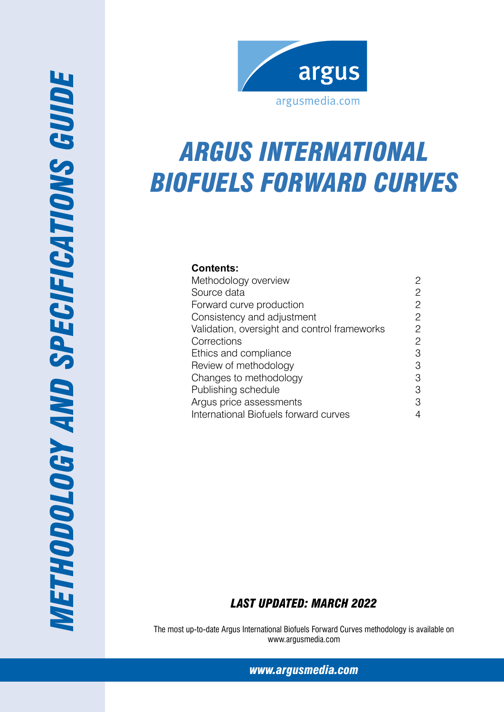

# *ARGUS International Biofuels Forward Curves*

# **Contents:**

| Methodology overview                         | 2              |
|----------------------------------------------|----------------|
| Source data                                  | 2              |
| Forward curve production                     | 2              |
| Consistency and adjustment                   | $\overline{c}$ |
| Validation, oversight and control frameworks | 2              |
| Corrections                                  | $\overline{c}$ |
| Ethics and compliance                        | 3              |
| Review of methodology                        | 3              |
| Changes to methodology                       | 3              |
| Publishing schedule                          | 3              |
| Argus price assessments                      | 3              |
| International Biofuels forward curves        | 4              |

# *Last Updated: March 2022*

The most up-to-date Argus International Biofuels Forward Curves methodology is available on www.argusmedia.com

*[www.argusmedia.com](http://www.argusmediagroup.com)*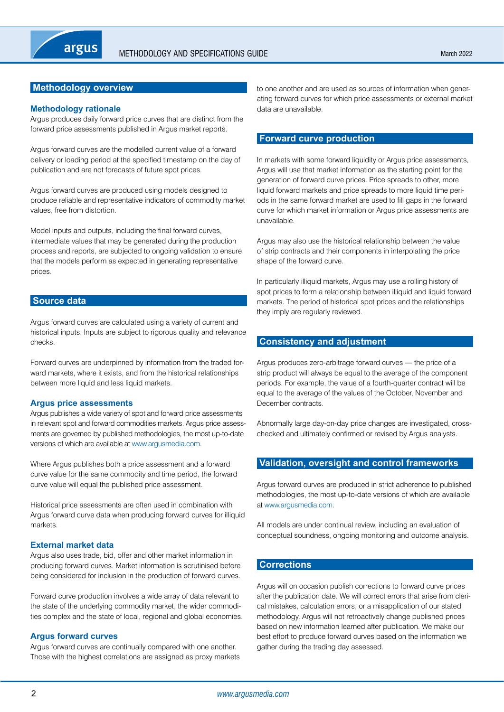# <span id="page-1-0"></span>**Methodology overview**

#### **Methodology rationale**

Argus produces daily forward price curves that are distinct from the forward price assessments published in Argus market reports.

Argus forward curves are the modelled current value of a forward delivery or loading period at the specified timestamp on the day of publication and are not forecasts of future spot prices.

Argus forward curves are produced using models designed to produce reliable and representative indicators of commodity market values, free from distortion.

Model inputs and outputs, including the final forward curves, intermediate values that may be generated during the production process and reports, are subjected to ongoing validation to ensure that the models perform as expected in generating representative prices.

#### **Source data**

Argus forward curves are calculated using a variety of current and historical inputs. Inputs are subject to rigorous quality and relevance checks.

Forward curves are underpinned by information from the traded forward markets, where it exists, and from the historical relationships between more liquid and less liquid markets.

#### **Argus price assessments**

Argus publishes a wide variety of spot and forward price assessments in relevant spot and forward commodities markets. Argus price assessments are governed by published methodologies, the most up-to-date versions of which are available at<www.argusmedia.com>.

Where Argus publishes both a price assessment and a forward curve value for the same commodity and time period, the forward curve value will equal the published price assessment.

Historical price assessments are often used in combination with Argus forward curve data when producing forward curves for illiquid markets.

#### **External market data**

Argus also uses trade, bid, offer and other market information in producing forward curves. Market information is scrutinised before being considered for inclusion in the production of forward curves.

Forward curve production involves a wide array of data relevant to the state of the underlying commodity market, the wider commodities complex and the state of local, regional and global economies.

#### **Argus forward curves**

Argus forward curves are continually compared with one another. Those with the highest correlations are assigned as proxy markets to one another and are used as sources of information when generating forward curves for which price assessments or external market data are unavailable.

## **Forward curve production**

In markets with some forward liquidity or Argus price assessments, Argus will use that market information as the starting point for the generation of forward curve prices. Price spreads to other, more liquid forward markets and price spreads to more liquid time periods in the same forward market are used to fill gaps in the forward curve for which market information or Argus price assessments are unavailable.

Argus may also use the historical relationship between the value of strip contracts and their components in interpolating the price shape of the forward curve.

In particularly illiquid markets, Argus may use a rolling history of spot prices to form a relationship between illiquid and liquid forward markets. The period of historical spot prices and the relationships they imply are regularly reviewed.

#### **Consistency and adjustment**

Argus produces zero-arbitrage forward curves — the price of a strip product will always be equal to the average of the component periods. For example, the value of a fourth-quarter contract will be equal to the average of the values of the October, November and December contracts.

Abnormally large day-on-day price changes are investigated, crosschecked and ultimately confirmed or revised by Argus analysts.

# **Validation, oversight and control frameworks**

Argus forward curves are produced in strict adherence to published methodologies, the most up-to-date versions of which are available at [www.argusmedia.com.](www.argusmedia.com)

All models are under continual review, including an evaluation of conceptual soundness, ongoing monitoring and outcome analysis.

#### **Corrections**

Argus will on occasion publish corrections to forward curve prices after the publication date. We will correct errors that arise from clerical mistakes, calculation errors, or a misapplication of our stated methodology. Argus will not retroactively change published prices based on new information learned after publication. We make our best effort to produce forward curves based on the information we gather during the trading day assessed.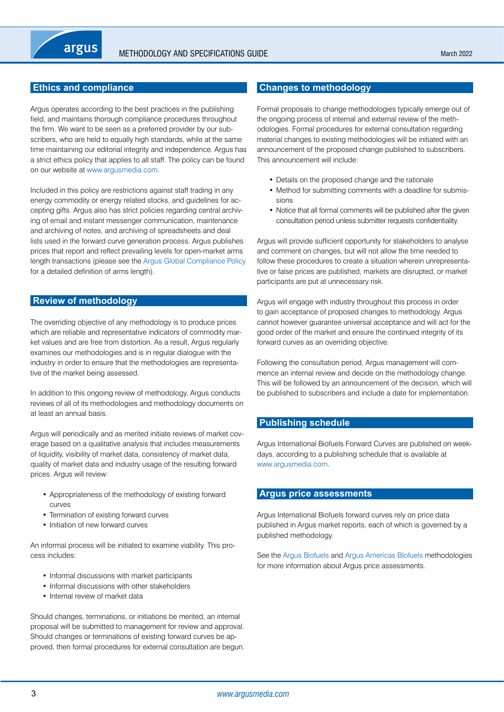# <span id="page-2-0"></span>**Ethics and compliance**

Argus operates according to the best practices in the publishing field, and maintains thorough compliance procedures throughout the firm. We want to be seen as a preferred provider by our subscribers, who are held to equally high standards, while at the same time maintaining our editorial integrity and independence. Argus has a strict ethics policy that applies to all staff. The policy can be found on our website at <www.argusmedia.com>.

Included in this policy are restrictions against staff trading in any energy commodity or energy related stocks, and guidelines for accepting gifts. Argus also has strict policies regarding central archiving of email and instant messenger communication, maintenance and archiving of notes, and archiving of spreadsheets and deal lists used in the forward curve generation process. Argus publishes prices that report and reflect prevailing levels for open-market arms length transactions (please see the [Argus Global Compliance Policy](https://www.argusmedia.com/-/media/Files/governance-and-compliance/global-compliance.ashx?la=en&hash=D7D700EDAED183C15910880EDA933A50CDE8D196) for a detailed definition of arms length).

#### **Review of methodology**

The overriding objective of any methodology is to produce prices which are reliable and representative indicators of commodity market values and are free from distortion. As a result, Argus regularly examines our methodologies and is in regular dialogue with the industry in order to ensure that the methodologies are representative of the market being assessed.

In addition to this ongoing review of methodology, Argus conducts reviews of all of its methodologies and methodology documents on at least an annual basis.

Argus will periodically and as merited initiate reviews of market coverage based on a qualitative analysis that includes measurements of liquidity, visibility of market data, consistency of market data, quality of market data and industry usage of the resulting forward prices. Argus will review:

- • Appropriateness of the methodology of existing forward curves
- Termination of existing forward curves
- Initiation of new forward curves

An informal process will be initiated to examine viability. This process includes:

- Informal discussions with market participants
- Informal discussions with other stakeholders
- Internal review of market data

Should changes, terminations, or initiations be merited, an internal proposal will be submitted to management for review and approval. Should changes or terminations of existing forward curves be approved, then formal procedures for external consultation are begun.

## **Changes to methodology**

Formal proposals to change methodologies typically emerge out of the ongoing process of internal and external review of the methodologies. Formal procedures for external consultation regarding material changes to existing methodologies will be initiated with an announcement of the proposed change published to subscribers. This announcement will include:

- Details on the proposed change and the rationale
- Method for submitting comments with a deadline for submissions
- Notice that all formal comments will be published after the given consultation period unless submitter requests confidentiality.

Argus will provide sufficient opportunity for stakeholders to analyse and comment on changes, but will not allow the time needed to follow these procedures to create a situation wherein unrepresentative or false prices are published, markets are disrupted, or market participants are put at unnecessary risk.

Argus will engage with industry throughout this process in order to gain acceptance of proposed changes to methodology. Argus cannot however guarantee universal acceptance and will act for the good order of the market and ensure the continued integrity of its forward curves as an overriding objective.

Following the consultation period, Argus management will commence an internal review and decide on the methodology change. This will be followed by an announcement of the decision, which will be published to subscribers and include a date for implementation.

#### **Publishing schedule**

Argus International Biofuels Forward Curves are published on weekdays, according to a publishing schedule that is available at <www.argusmedia.com>.

## **Argus price assessments**

Argus International Biofuels forward curves rely on price data published in Argus market reports, each of which is governed by a published methodology.

See the [Argus Biofuels](https://www.argusmedia.com/-/media/Files/methodology/argus-biofuels.ashx) and Argus Americas Blofuels methodologies for more information about Argus price assessments.